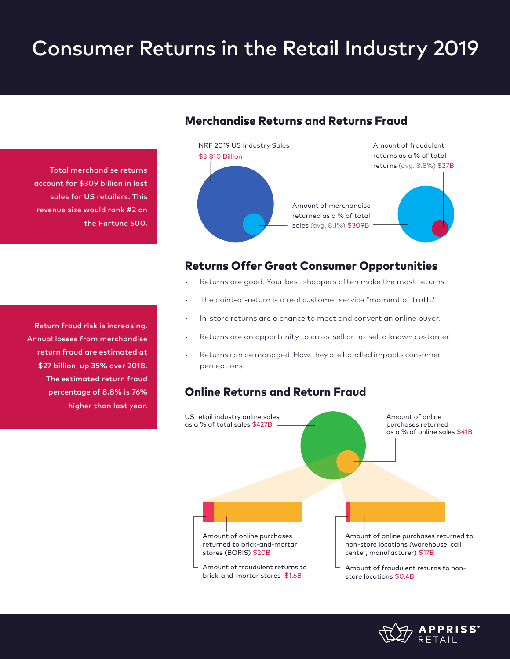# Consumer Returns in the Retail Industry 2019

Total merchandise returns account for \$309 billion in lost sales for US retailers. This revenue size would rank #2 on the Fortune 500.

Return fraud risk is increasing. Annual losses from merchandise return fraud are estimated at \$27 billion, up 35% over 2018. The estimated return fraud percentage of 8.8% is 76% higher than last year.

## Merchandise Returns and Returns Fraud



### Returns Offer Great Consumer Opportunities

- Returns are good. Your best shoppers often make the most returns.
- The point-of-return is a real customer service "moment of truth."
- In-store returns are a chance to meet and convert an online buyer.
- Returns are an opportunity to cross-sell or up-sell a known customer.
- Returns can be managed. How they are handled impacts consumer perceptions.

### Online Returns and Return Fraud



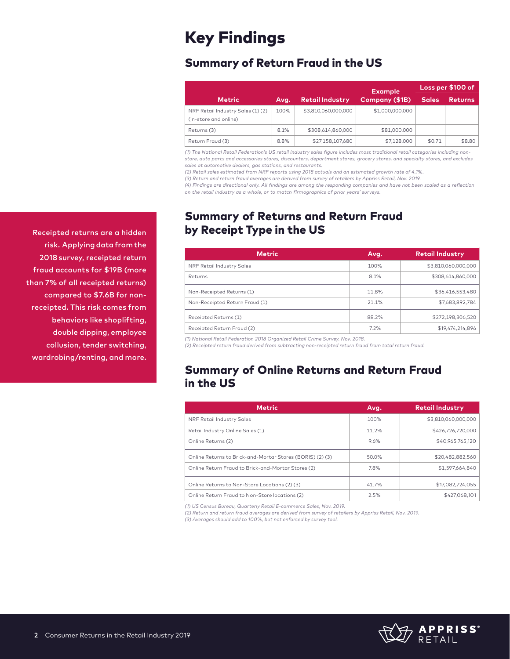## Key Findings

## Summary of Return Fraud in the US

|                                                           |      |                        | <b>Example</b>  |              | Loss per \$100 of |
|-----------------------------------------------------------|------|------------------------|-----------------|--------------|-------------------|
| <b>Metric</b>                                             | Avg. | <b>Retail Industry</b> | Company (\$1B)  | <b>Sales</b> | <b>Returns</b>    |
| NRF Retail Industry Sales (1)(2)<br>(in-store and online) | 100% | \$3,810,060,000,000    | \$1,000,000,000 |              |                   |
| Returns (3)                                               | 8.1% | \$308.614.860.000      | \$81,000,000    |              |                   |
| Return Fraud (3)                                          | 8.8% | \$27,158,107,680       | \$7,128,000     | \$0.71       | \$8.80            |

*(1) The National Retail Federation's US retail industry sales figure includes most traditional retail categories including nonstore, auto parts and accessories stores, discounters, department stores, grocery stores, and specialty stores, and excludes sales at automotive dealers, gas stations, and restaurants.*

*(2) Retail sales estimated from NRF reports using 2018 actuals and an estimated growth rate of 4.1%.*

*(3) Return and return fraud averages are derived from survey of retailers by Appriss Retail, Nov. 2019.*

*(4) Findings are directional only. All findings are among the responding companies and have not been scaled as a reflection on the retail industry as a whole, or to match firmographics of prior years' surveys.*

## Summary of Returns and Return Fraud by Receipt Type in the US

| Metric                         | Avg.  | <b>Retail Industry</b> |
|--------------------------------|-------|------------------------|
| NRF Retail Industry Sales      | 100%  | \$3,810,060,000,000    |
| Returns                        | 8.1%  | \$308,614,860,000      |
| Non-Receipted Returns (1)      | 11.8% | \$36,416,553,480       |
| Non-Receipted Return Fraud (1) | 21.1% | \$7,683,892,784        |
| Receipted Returns (1)          | 88.2% | \$272,198,306,520      |
| Receipted Return Fraud (2)     | 7.2%  | \$19,474,214,896       |

*(1) National Retail Federation 2018 Organized Retail Crime Survey. Nov. 2018.*

*(2) Receipted return fraud derived from subtracting non-receipted return fraud from total return fraud.*

## Summary of Online Returns and Return Fraud in the US

| <b>Metric</b>                                             | Avg.  | <b>Retail Industry</b> |
|-----------------------------------------------------------|-------|------------------------|
| NRF Retail Industry Sales                                 | 100%  | \$3,810,060,000,000    |
| Retail Industry Online Sales (1)                          | 11.2% | \$426.726.720.000      |
| Online Returns (2)                                        | 9.6%  | \$40.965.765.120       |
| Online Returns to Brick-and-Mortar Stores (BORIS) (2) (3) | 50.0% | \$20.482.882.560       |
| Online Return Fraud to Brick-and-Mortar Stores (2)        | 7.8%  | \$1,597,664,840        |
| Online Returns to Non-Store Locations (2) (3)             | 41.7% | \$17.082.724.055       |
| Online Return Fraud to Non-Store locations (2)            | 2.5%  | \$427.068.101          |

*(1) US Census Bureau, Quarterly Retail E-commerce Sales, Nov. 2019.*

*(2) Return and return fraud averages are derived from survey of retailers by Appriss Retail, Nov. 2019.*

*(3) Averages should add to 100%, but not enforced by survey tool.*



Receipted returns are a hidden risk. Applying data from the 2018 survey, receipted return fraud accounts for \$19B (more than 7% of all receipted returns) compared to \$7.6B for nonreceipted. This risk comes from behaviors like shoplifting, double dipping, employee collusion, tender switching, wardrobing/renting, and more.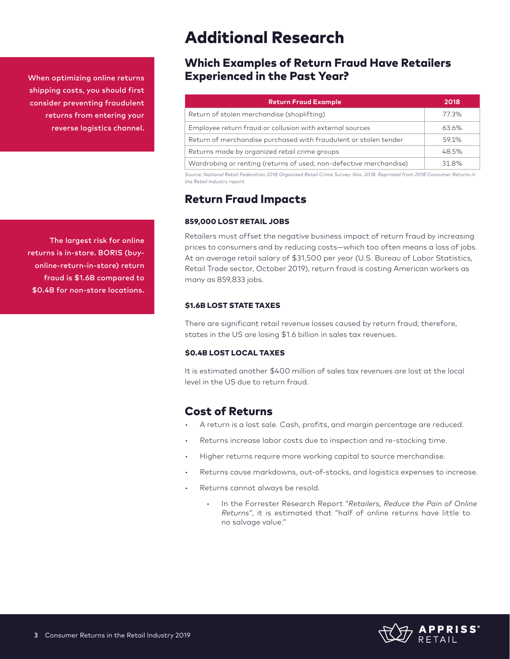When optimizing online returns shipping costs, you should first consider preventing fraudulent returns from entering your reverse logistics channel.

The largest risk for online returns is in-store. BORIS (buyonline-return-in-store) return fraud is \$1.6B compared to \$0.4B for non-store locations.

## Additional Research

## Which Examples of Return Fraud Have Retailers Experienced in the Past Year?

| <b>Return Fraud Example</b>                                        | 2018  |
|--------------------------------------------------------------------|-------|
| Return of stolen merchandise (shoplifting)                         | 773%  |
| Employee return fraud or collusion with external sources           | 63.6% |
| Return of merchandise purchased with fraudulent or stolen tender   | 59.1% |
| Returns made by organized retail crime groups                      | 48.5% |
| Wardrobing or renting (returns of used, non-defective merchandise) | 31.8% |

*Source: National Retail Federation 2018 Organized Retail Crime Survey. Nov. 2018. Reprinted from 2018 Consumer Returns in the Retail Industry report.*

## Return Fraud Impacts

#### 859,000 LOST RETAIL JOBS

Retailers must offset the negative business impact of return fraud by increasing prices to consumers and by reducing costs—which too often means a loss of jobs. At an average retail salary of \$31,500 per year (U.S. Bureau of Labor Statistics, Retail Trade sector, October 2019), return fraud is costing American workers as many as 859,833 jobs.

#### \$1.6B LOST STATE TAXES

There are significant retail revenue losses caused by return fraud; therefore, states in the US are losing \$1.6 billion in sales tax revenues.

#### \$0.4B LOST LOCAL TAXES

It is estimated another \$400 million of sales tax revenues are lost at the local level in the US due to return fraud.

## Cost of Returns

- A return is a lost sale. Cash, profits, and margin percentage are reduced.
- Returns increase labor costs due to inspection and re-stocking time.
- Higher returns require more working capital to source merchandise.
- Returns cause markdowns, out-of-stocks, and logistics expenses to increase.
- Returns cannot always be resold.
	- In the Forrester Research Report "*Retailers, Reduce the Pain of Online Returns"*, it is estimated that "half of online returns have little to no salvage value."